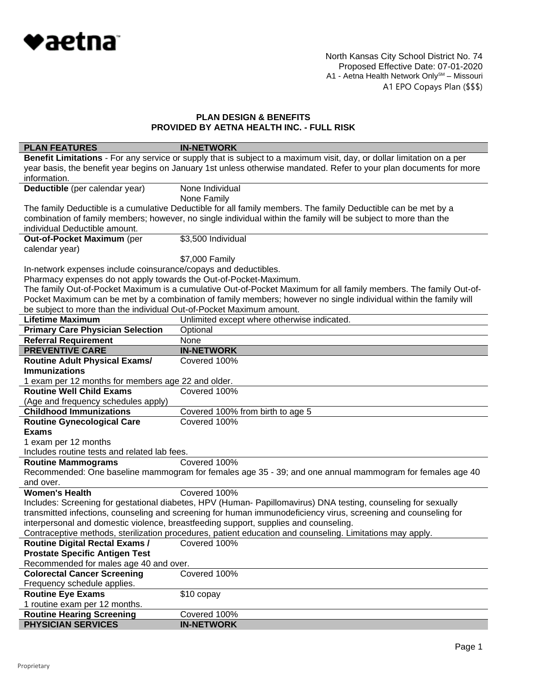

North Kansas City School District No. 74 Proposed Effective Date: 07-01-2020 A1 - Aetna Health Network Only<sup>sm</sup> – Missouri A1 EPO Copays Plan (\$\$\$)

| <b>PLAN FEATURES</b>                                                 | <b>IN-NETWORK</b>                                                                                                      |
|----------------------------------------------------------------------|------------------------------------------------------------------------------------------------------------------------|
|                                                                      | Benefit Limitations - For any service or supply that is subject to a maximum visit, day, or dollar limitation on a per |
|                                                                      | year basis, the benefit year begins on January 1st unless otherwise mandated. Refer to your plan documents for more    |
| information.                                                         |                                                                                                                        |
| Deductible (per calendar year)                                       | None Individual                                                                                                        |
|                                                                      | None Family                                                                                                            |
|                                                                      | The family Deductible is a cumulative Deductible for all family members. The family Deductible can be met by a         |
|                                                                      | combination of family members; however, no single individual within the family will be subject to more than the        |
| individual Deductible amount.                                        |                                                                                                                        |
| Out-of-Pocket Maximum (per                                           | \$3,500 Individual                                                                                                     |
| calendar year)                                                       |                                                                                                                        |
|                                                                      | \$7,000 Family                                                                                                         |
| In-network expenses include coinsurance/copays and deductibles.      |                                                                                                                        |
| Pharmacy expenses do not apply towards the Out-of-Pocket-Maximum.    |                                                                                                                        |
|                                                                      | The family Out-of-Pocket Maximum is a cumulative Out-of-Pocket Maximum for all family members. The family Out-of-      |
|                                                                      | Pocket Maximum can be met by a combination of family members; however no single individual within the family will      |
| be subject to more than the individual Out-of-Pocket Maximum amount. |                                                                                                                        |
| <b>Lifetime Maximum</b>                                              | Unlimited except where otherwise indicated.                                                                            |
| <b>Primary Care Physician Selection</b>                              | Optional                                                                                                               |
| <b>Referral Requirement</b>                                          | None                                                                                                                   |
| <b>PREVENTIVE CARE</b>                                               | <b>IN-NETWORK</b>                                                                                                      |
| <b>Routine Adult Physical Exams/</b>                                 | Covered 100%                                                                                                           |
| <b>Immunizations</b>                                                 |                                                                                                                        |
| 1 exam per 12 months for members age 22 and older.                   |                                                                                                                        |
| <b>Routine Well Child Exams</b>                                      | Covered 100%                                                                                                           |
| (Age and frequency schedules apply)                                  |                                                                                                                        |
| <b>Childhood Immunizations</b>                                       | Covered 100% from birth to age 5                                                                                       |
| <b>Routine Gynecological Care</b>                                    | Covered 100%                                                                                                           |
| <b>Exams</b>                                                         |                                                                                                                        |
| 1 exam per 12 months                                                 |                                                                                                                        |
| Includes routine tests and related lab fees.                         |                                                                                                                        |
| <b>Routine Mammograms</b>                                            | Covered 100%                                                                                                           |
|                                                                      | Recommended: One baseline mammogram for females age 35 - 39; and one annual mammogram for females age 40               |
| and over.                                                            |                                                                                                                        |
| <b>Women's Health</b>                                                | Covered 100%                                                                                                           |
|                                                                      | Includes: Screening for gestational diabetes, HPV (Human- Papillomavirus) DNA testing, counseling for sexually         |
|                                                                      | transmitted infections, counseling and screening for human immunodeficiency virus, screening and counseling for        |
|                                                                      | interpersonal and domestic violence, breastfeeding support, supplies and counseling.                                   |
|                                                                      | Contraceptive methods, sterilization procedures, patient education and counseling. Limitations may apply.              |
| <b>Routine Digital Rectal Exams /</b>                                | Covered 100%                                                                                                           |
| <b>Prostate Specific Antigen Test</b>                                |                                                                                                                        |
| Recommended for males age 40 and over.                               |                                                                                                                        |
| <b>Colorectal Cancer Screening</b>                                   | Covered 100%                                                                                                           |
| Frequency schedule applies.                                          |                                                                                                                        |
| <b>Routine Eye Exams</b>                                             | \$10 copay                                                                                                             |
| 1 routine exam per 12 months.                                        |                                                                                                                        |
| <b>Routine Hearing Screening</b>                                     | Covered 100%                                                                                                           |
| <b>PHYSICIAN SERVICES</b>                                            | <b>IN-NETWORK</b>                                                                                                      |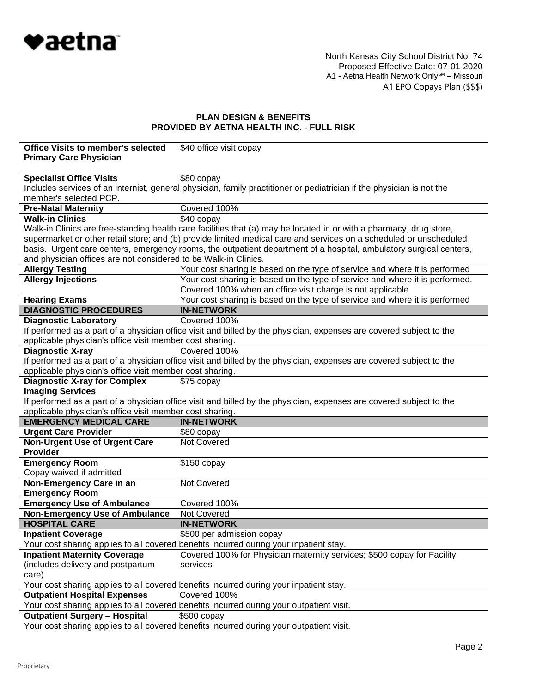

North Kansas City School District No. 74 Proposed Effective Date: 07-01-2020 A1 - Aetna Health Network Only<sup>sm</sup> – Missouri A1 EPO Copays Plan (\$\$\$)

| <b>Office Visits to member's selected</b><br><b>Primary Care Physician</b> | \$40 office visit copay                                                                                               |
|----------------------------------------------------------------------------|-----------------------------------------------------------------------------------------------------------------------|
|                                                                            |                                                                                                                       |
| <b>Specialist Office Visits</b>                                            | \$80 copay                                                                                                            |
|                                                                            | Includes services of an internist, general physician, family practitioner or pediatrician if the physician is not the |
| member's selected PCP.                                                     |                                                                                                                       |
| <b>Pre-Natal Maternity</b>                                                 | Covered 100%                                                                                                          |
| <b>Walk-in Clinics</b>                                                     | \$40 copay                                                                                                            |
|                                                                            | Walk-in Clinics are free-standing health care facilities that (a) may be located in or with a pharmacy, drug store,   |
|                                                                            | supermarket or other retail store; and (b) provide limited medical care and services on a scheduled or unscheduled    |
|                                                                            | basis. Urgent care centers, emergency rooms, the outpatient department of a hospital, ambulatory surgical centers,    |
| and physician offices are not considered to be Walk-in Clinics.            |                                                                                                                       |
| <b>Allergy Testing</b>                                                     | Your cost sharing is based on the type of service and where it is performed                                           |
| <b>Allergy Injections</b>                                                  | Your cost sharing is based on the type of service and where it is performed.                                          |
|                                                                            | Covered 100% when an office visit charge is not applicable.                                                           |
| <b>Hearing Exams</b>                                                       | Your cost sharing is based on the type of service and where it is performed                                           |
| <b>DIAGNOSTIC PROCEDURES</b>                                               | <b>IN-NETWORK</b>                                                                                                     |
| <b>Diagnostic Laboratory</b>                                               | Covered 100%                                                                                                          |
|                                                                            | If performed as a part of a physician office visit and billed by the physician, expenses are covered subject to the   |
| applicable physician's office visit member cost sharing.                   |                                                                                                                       |
| <b>Diagnostic X-ray</b>                                                    | Covered 100%                                                                                                          |
|                                                                            | If performed as a part of a physician office visit and billed by the physician, expenses are covered subject to the   |
| applicable physician's office visit member cost sharing.                   |                                                                                                                       |
| <b>Diagnostic X-ray for Complex</b>                                        | \$75 copay                                                                                                            |
| <b>Imaging Services</b>                                                    |                                                                                                                       |
|                                                                            | If performed as a part of a physician office visit and billed by the physician, expenses are covered subject to the   |
| applicable physician's office visit member cost sharing.                   |                                                                                                                       |
| <b>EMERGENCY MEDICAL CARE</b>                                              | <b>IN-NETWORK</b>                                                                                                     |
| <b>Urgent Care Provider</b>                                                | \$80 copay                                                                                                            |
| <b>Non-Urgent Use of Urgent Care</b>                                       | Not Covered                                                                                                           |
| <b>Provider</b>                                                            |                                                                                                                       |
| <b>Emergency Room</b>                                                      | $$150$ copay                                                                                                          |
| Copay waived if admitted                                                   |                                                                                                                       |
| Non-Emergency Care in an                                                   | Not Covered                                                                                                           |
| <b>Emergency Room</b><br><b>Emergency Use of Ambulance</b>                 |                                                                                                                       |
| <b>Non-Emergency Use of Ambulance</b>                                      | Covered 100%<br>Not Covered                                                                                           |
| <b>HOSPITAL CARE</b>                                                       | <b>IN-NETWORK</b>                                                                                                     |
| <b>Inpatient Coverage</b>                                                  | \$500 per admission copay                                                                                             |
|                                                                            | Your cost sharing applies to all covered benefits incurred during your inpatient stay.                                |
| <b>Inpatient Maternity Coverage</b>                                        | Covered 100% for Physician maternity services; \$500 copay for Facility                                               |
| (includes delivery and postpartum                                          | services                                                                                                              |
| care)                                                                      |                                                                                                                       |
|                                                                            | Your cost sharing applies to all covered benefits incurred during your inpatient stay.                                |
| <b>Outpatient Hospital Expenses</b>                                        | Covered 100%                                                                                                          |
|                                                                            | Your cost sharing applies to all covered benefits incurred during your outpatient visit.                              |
| <b>Outpatient Surgery - Hospital</b>                                       | $$500$ copay                                                                                                          |
|                                                                            | Vour coot charing applica to all covered benefits inqurred during your outpatient vigit                               |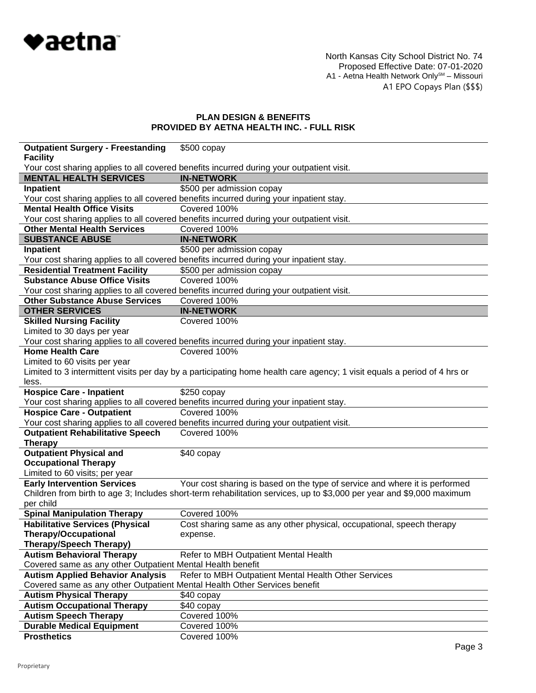

North Kansas City School District No. 74 Proposed Effective Date: 07-01-2020 A1 - Aetna Health Network Only<sup>sm</sup> – Missouri A1 EPO Copays Plan (\$\$\$)

| <b>Outpatient Surgery - Freestanding</b>                                  | $$500$ copay                                                                                                             |
|---------------------------------------------------------------------------|--------------------------------------------------------------------------------------------------------------------------|
| <b>Facility</b>                                                           |                                                                                                                          |
|                                                                           | Your cost sharing applies to all covered benefits incurred during your outpatient visit.                                 |
| <b>MENTAL HEALTH SERVICES</b>                                             | <b>IN-NETWORK</b>                                                                                                        |
| Inpatient                                                                 | \$500 per admission copay                                                                                                |
|                                                                           | Your cost sharing applies to all covered benefits incurred during your inpatient stay.                                   |
| <b>Mental Health Office Visits</b>                                        | Covered 100%                                                                                                             |
|                                                                           | Your cost sharing applies to all covered benefits incurred during your outpatient visit.                                 |
| <b>Other Mental Health Services</b>                                       | Covered 100%                                                                                                             |
| <b>SUBSTANCE ABUSE</b>                                                    | <b>IN-NETWORK</b>                                                                                                        |
| Inpatient                                                                 | \$500 per admission copay                                                                                                |
|                                                                           | Your cost sharing applies to all covered benefits incurred during your inpatient stay.                                   |
| <b>Residential Treatment Facility</b>                                     | \$500 per admission copay                                                                                                |
| <b>Substance Abuse Office Visits</b>                                      | Covered 100%                                                                                                             |
|                                                                           | Your cost sharing applies to all covered benefits incurred during your outpatient visit.                                 |
| <b>Other Substance Abuse Services</b>                                     | Covered 100%                                                                                                             |
| <b>OTHER SERVICES</b>                                                     | <b>IN-NETWORK</b>                                                                                                        |
| <b>Skilled Nursing Facility</b>                                           | Covered 100%                                                                                                             |
| Limited to 30 days per year                                               |                                                                                                                          |
|                                                                           | Your cost sharing applies to all covered benefits incurred during your inpatient stay.                                   |
| <b>Home Health Care</b>                                                   | Covered 100%                                                                                                             |
| Limited to 60 visits per year                                             |                                                                                                                          |
|                                                                           | Limited to 3 intermittent visits per day by a participating home health care agency; 1 visit equals a period of 4 hrs or |
| less.                                                                     |                                                                                                                          |
| <b>Hospice Care - Inpatient</b>                                           | $$250$ copay                                                                                                             |
|                                                                           | Your cost sharing applies to all covered benefits incurred during your inpatient stay.                                   |
| <b>Hospice Care - Outpatient</b>                                          | Covered 100%                                                                                                             |
|                                                                           | Your cost sharing applies to all covered benefits incurred during your outpatient visit.                                 |
| <b>Outpatient Rehabilitative Speech</b>                                   | Covered 100%                                                                                                             |
| <b>Therapy</b>                                                            |                                                                                                                          |
| <b>Outpatient Physical and</b>                                            | \$40 copay                                                                                                               |
| <b>Occupational Therapy</b>                                               |                                                                                                                          |
| Limited to 60 visits; per year                                            |                                                                                                                          |
| <b>Early Intervention Services</b>                                        | Your cost sharing is based on the type of service and where it is performed                                              |
|                                                                           | Children from birth to age 3; Includes short-term rehabilitation services, up to \$3,000 per year and \$9,000 maximum    |
| per child                                                                 |                                                                                                                          |
| <b>Spinal Manipulation Therapy</b>                                        | Covered 100%                                                                                                             |
| <b>Habilitative Services (Physical</b>                                    | Cost sharing same as any other physical, occupational, speech therapy                                                    |
| <b>Therapy/Occupational</b>                                               | expense.                                                                                                                 |
| <b>Therapy/Speech Therapy)</b>                                            |                                                                                                                          |
| <b>Autism Behavioral Therapy</b>                                          | Refer to MBH Outpatient Mental Health                                                                                    |
| Covered same as any other Outpatient Mental Health benefit                |                                                                                                                          |
| <b>Autism Applied Behavior Analysis</b>                                   | Refer to MBH Outpatient Mental Health Other Services                                                                     |
| Covered same as any other Outpatient Mental Health Other Services benefit |                                                                                                                          |
| <b>Autism Physical Therapy</b>                                            | \$40 copay                                                                                                               |
| <b>Autism Occupational Therapy</b>                                        | \$40 copay                                                                                                               |
| <b>Autism Speech Therapy</b>                                              | Covered 100%                                                                                                             |
| <b>Durable Medical Equipment</b>                                          | Covered 100%                                                                                                             |
| <b>Prosthetics</b>                                                        | Covered 100%                                                                                                             |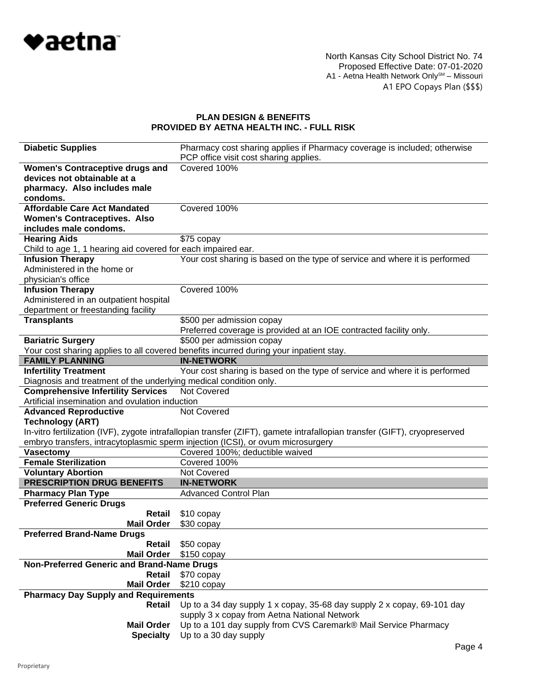

| <b>Diabetic Supplies</b>                                          | Pharmacy cost sharing applies if Pharmacy coverage is included; otherwise                                                                                                                                    |  |
|-------------------------------------------------------------------|--------------------------------------------------------------------------------------------------------------------------------------------------------------------------------------------------------------|--|
|                                                                   | PCP office visit cost sharing applies.                                                                                                                                                                       |  |
| <b>Women's Contraceptive drugs and</b>                            | Covered 100%                                                                                                                                                                                                 |  |
| devices not obtainable at a                                       |                                                                                                                                                                                                              |  |
| pharmacy. Also includes male                                      |                                                                                                                                                                                                              |  |
| condoms.                                                          |                                                                                                                                                                                                              |  |
| <b>Affordable Care Act Mandated</b>                               | Covered 100%                                                                                                                                                                                                 |  |
| <b>Women's Contraceptives. Also</b>                               |                                                                                                                                                                                                              |  |
| includes male condoms.                                            |                                                                                                                                                                                                              |  |
| <b>Hearing Aids</b>                                               | \$75 copay                                                                                                                                                                                                   |  |
| Child to age 1, 1 hearing aid covered for each impaired ear.      |                                                                                                                                                                                                              |  |
| <b>Infusion Therapy</b>                                           | Your cost sharing is based on the type of service and where it is performed                                                                                                                                  |  |
| Administered in the home or                                       |                                                                                                                                                                                                              |  |
| physician's office                                                |                                                                                                                                                                                                              |  |
| <b>Infusion Therapy</b>                                           | Covered 100%                                                                                                                                                                                                 |  |
| Administered in an outpatient hospital                            |                                                                                                                                                                                                              |  |
| department or freestanding facility                               |                                                                                                                                                                                                              |  |
| <b>Transplants</b>                                                | \$500 per admission copay                                                                                                                                                                                    |  |
|                                                                   | Preferred coverage is provided at an IOE contracted facility only.                                                                                                                                           |  |
| <b>Bariatric Surgery</b>                                          | \$500 per admission copay                                                                                                                                                                                    |  |
|                                                                   | Your cost sharing applies to all covered benefits incurred during your inpatient stay.                                                                                                                       |  |
| <b>FAMILY PLANNING</b>                                            | <b>IN-NETWORK</b>                                                                                                                                                                                            |  |
| <b>Infertility Treatment</b>                                      | Your cost sharing is based on the type of service and where it is performed                                                                                                                                  |  |
| Diagnosis and treatment of the underlying medical condition only. |                                                                                                                                                                                                              |  |
| <b>Comprehensive Infertility Services</b>                         | Not Covered                                                                                                                                                                                                  |  |
| Artificial insemination and ovulation induction                   |                                                                                                                                                                                                              |  |
| <b>Advanced Reproductive</b>                                      | Not Covered                                                                                                                                                                                                  |  |
| <b>Technology (ART)</b>                                           |                                                                                                                                                                                                              |  |
|                                                                   | In-vitro fertilization (IVF), zygote intrafallopian transfer (ZIFT), gamete intrafallopian transfer (GIFT), cryopreserved<br>embryo transfers, intracytoplasmic sperm injection (ICSI), or ovum microsurgery |  |
| <b>Vasectomy</b>                                                  | Covered 100%; deductible waived                                                                                                                                                                              |  |
| <b>Female Sterilization</b>                                       | Covered 100%                                                                                                                                                                                                 |  |
| <b>Voluntary Abortion</b>                                         | Not Covered                                                                                                                                                                                                  |  |
| <b>PRESCRIPTION DRUG BENEFITS</b>                                 | <b>IN-NETWORK</b>                                                                                                                                                                                            |  |
| <b>Pharmacy Plan Type</b>                                         | <b>Advanced Control Plan</b>                                                                                                                                                                                 |  |
| <b>Preferred Generic Drugs</b>                                    |                                                                                                                                                                                                              |  |
| Retail                                                            | \$10 copay                                                                                                                                                                                                   |  |
| <b>Mail Order</b>                                                 | \$30 copay                                                                                                                                                                                                   |  |
| <b>Preferred Brand-Name Drugs</b>                                 |                                                                                                                                                                                                              |  |
| Retail                                                            | \$50 copay                                                                                                                                                                                                   |  |
| <b>Mail Order</b>                                                 | $$150$ copay                                                                                                                                                                                                 |  |
| Non-Preferred Generic and Brand-Name Drugs                        |                                                                                                                                                                                                              |  |
| Retail                                                            | \$70 copay                                                                                                                                                                                                   |  |
| <b>Mail Order</b>                                                 | \$210 copay                                                                                                                                                                                                  |  |
| <b>Pharmacy Day Supply and Requirements</b>                       |                                                                                                                                                                                                              |  |
| Retail                                                            | Up to a 34 day supply 1 x copay, 35-68 day supply 2 x copay, 69-101 day                                                                                                                                      |  |
|                                                                   | supply 3 x copay from Aetna National Network                                                                                                                                                                 |  |
| <b>Mail Order</b>                                                 | Up to a 101 day supply from CVS Caremark® Mail Service Pharmacy                                                                                                                                              |  |
| <b>Specialty</b>                                                  | Up to a 30 day supply                                                                                                                                                                                        |  |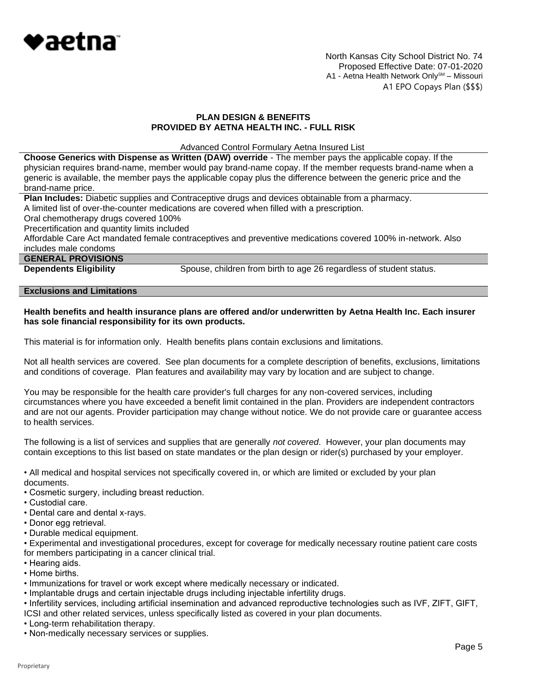

North Kansas City School District No. 74 Proposed Effective Date: 07-01-2020 A1 - Aetna Health Network Only<sup>SM</sup> - Missouri A1 EPO Copays Plan (\$\$\$)

### **PLAN DESIGN & BENEFITS PROVIDED BY AETNA HEALTH INC. - FULL RISK**

Advanced Control Formulary Aetna Insured List

**Choose Generics with Dispense as Written (DAW) override** - The member pays the applicable copay. If the physician requires brand-name, member would pay brand-name copay. If the member requests brand-name when a generic is available, the member pays the applicable copay plus the difference between the generic price and the brand-name price.

**Plan Includes:** Diabetic supplies and Contraceptive drugs and devices obtainable from a pharmacy.

A limited list of over-the-counter medications are covered when filled with a prescription.

Oral chemotherapy drugs covered 100%

Precertification and quantity limits included

Affordable Care Act mandated female contraceptives and preventive medications covered 100% in-network. Also includes male condoms

# **GENERAL PROVISIONS**

**Dependents Eligibility** Spouse, children from birth to age 26 regardless of student status.

# **Exclusions and Limitations**

#### **Health benefits and health insurance plans are offered and/or underwritten by Aetna Health Inc. Each insurer has sole financial responsibility for its own products.**

This material is for information only. Health benefits plans contain exclusions and limitations.

Not all health services are covered. See plan documents for a complete description of benefits, exclusions, limitations and conditions of coverage. Plan features and availability may vary by location and are subject to change.

You may be responsible for the health care provider's full charges for any non-covered services, including circumstances where you have exceeded a benefit limit contained in the plan. Providers are independent contractors and are not our agents. Provider participation may change without notice. We do not provide care or guarantee access to health services.

The following is a list of services and supplies that are generally *not covered*. However, your plan documents may contain exceptions to this list based on state mandates or the plan design or rider(s) purchased by your employer.

• All medical and hospital services not specifically covered in, or which are limited or excluded by your plan documents.

- Cosmetic surgery, including breast reduction.
- Custodial care.
- Dental care and dental x-rays.
- Donor egg retrieval.
- Durable medical equipment.

• Experimental and investigational procedures, except for coverage for medically necessary routine patient care costs for members participating in a cancer clinical trial.

- Hearing aids.
- Home births.
- Immunizations for travel or work except where medically necessary or indicated.
- Implantable drugs and certain injectable drugs including injectable infertility drugs.
- Infertility services, including artificial insemination and advanced reproductive technologies such as IVF, ZIFT, GIFT, ICSI and other related services, unless specifically listed as covered in your plan documents.
- Long-term rehabilitation therapy.
- Non-medically necessary services or supplies.